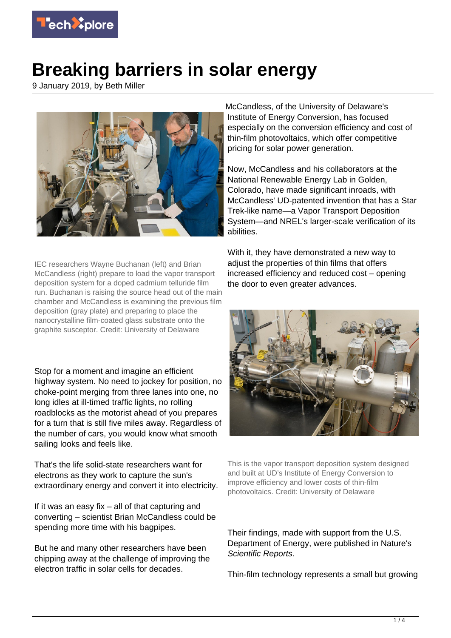

## **Breaking barriers in solar energy**

9 January 2019, by Beth Miller



IEC researchers Wayne Buchanan (left) and Brian McCandless (right) prepare to load the vapor transport deposition system for a doped cadmium telluride film run. Buchanan is raising the source head out of the main chamber and McCandless is examining the previous film deposition (gray plate) and preparing to place the nanocrystalline film-coated glass substrate onto the graphite susceptor. Credit: University of Delaware

Stop for a moment and imagine an efficient highway system. No need to jockey for position, no choke-point merging from three lanes into one, no long idles at ill-timed traffic lights, no rolling roadblocks as the motorist ahead of you prepares for a turn that is still five miles away. Regardless of the number of cars, you would know what smooth sailing looks and feels like.

That's the life solid-state researchers want for electrons as they work to capture the sun's extraordinary energy and convert it into electricity.

If it was an easy fix – all of that capturing and converting – scientist Brian McCandless could be spending more time with his bagpipes.

But he and many other researchers have been chipping away at the challenge of improving the electron traffic in solar cells for decades.

McCandless, of the University of Delaware's Institute of Energy Conversion, has focused especially on the conversion efficiency and cost of thin-film photovoltaics, which offer competitive pricing for solar power generation.

Now, McCandless and his collaborators at the National Renewable Energy Lab in Golden, Colorado, have made significant inroads, with McCandless' UD-patented invention that has a Star Trek-like name—a Vapor Transport Deposition System—and NREL's larger-scale verification of its abilities.

With it, they have demonstrated a new way to adiust the properties of thin films that offers increased efficiency and reduced cost – opening the door to even greater advances.



This is the vapor transport deposition system designed and built at UD's Institute of Energy Conversion to improve efficiency and lower costs of thin-film photovoltaics. Credit: University of Delaware

Their findings, made with support from the U.S. Department of Energy, were published in Nature's Scientific Reports.

Thin-film technology represents a small but growing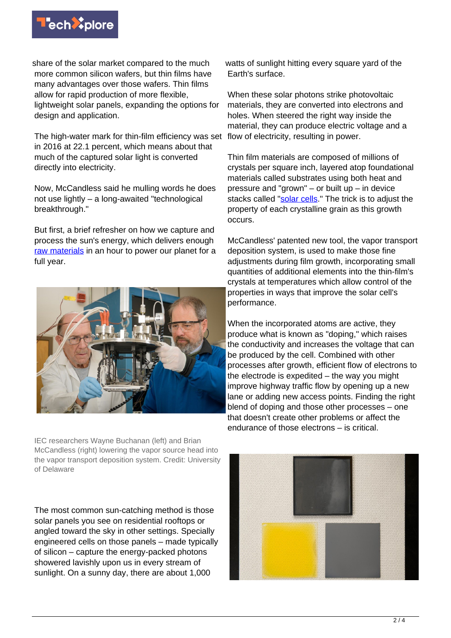

share of the solar market compared to the much more common silicon wafers, but thin films have many advantages over those wafers. Thin films allow for rapid production of more flexible, lightweight solar panels, expanding the options for design and application.

The high-water mark for thin-film efficiency was set in 2016 at 22.1 percent, which means about that much of the captured solar light is converted directly into electricity.

Now, McCandless said he mulling words he does not use lightly – a long-awaited "technological breakthrough."

But first, a brief refresher on how we capture and process the sun's energy, which delivers enough [raw materials](https://techxplore.com/tags/raw+materials/) in an hour to power our planet for a full year.



IEC researchers Wayne Buchanan (left) and Brian McCandless (right) lowering the vapor source head into the vapor transport deposition system. Credit: University of Delaware

The most common sun-catching method is those solar panels you see on residential rooftops or angled toward the sky in other settings. Specially engineered cells on those panels – made typically of silicon – capture the energy-packed photons showered lavishly upon us in every stream of sunlight. On a sunny day, there are about 1,000

watts of sunlight hitting every square vard of the Earth's surface.

When these solar photons strike photovoltaic materials, they are converted into electrons and holes. When steered the right way inside the material, they can produce electric voltage and a flow of electricity, resulting in power.

Thin film materials are composed of millions of crystals per square inch, layered atop foundational materials called substrates using both heat and pressure and "grown" – or built up – in device stacks called ["solar cells](https://techxplore.com/tags/solar+cells/)." The trick is to adjust the property of each crystalline grain as this growth occurs.

McCandless' patented new tool, the vapor transport deposition system, is used to make those fine adjustments during film growth, incorporating small quantities of additional elements into the thin-film's crystals at temperatures which allow control of the properties in ways that improve the solar cell's performance.

When the incorporated atoms are active, they produce what is known as "doping," which raises the conductivity and increases the voltage that can be produced by the cell. Combined with other processes after growth, efficient flow of electrons to the electrode is expedited – the way you might improve highway traffic flow by opening up a new lane or adding new access points. Finding the right blend of doping and those other processes – one that doesn't create other problems or affect the endurance of those electrons – is critical.

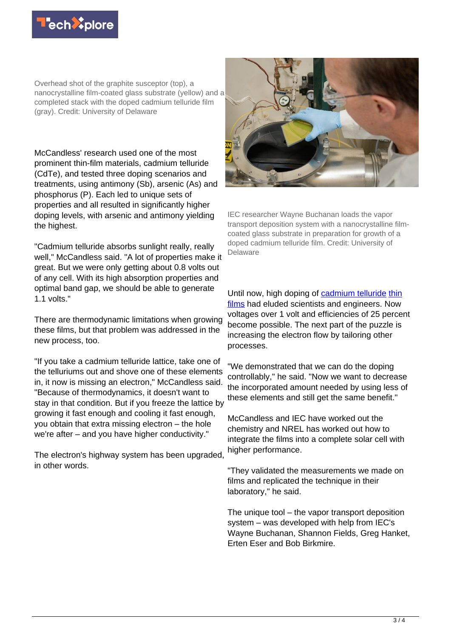

Overhead shot of the graphite susceptor (top), a nanocrystalline film-coated glass substrate (yellow) and a completed stack with the doped cadmium telluride film (gray). Credit: University of Delaware

McCandless' research used one of the most prominent thin-film materials, cadmium telluride (CdTe), and tested three doping scenarios and treatments, using antimony (Sb), arsenic (As) and phosphorus (P). Each led to unique sets of properties and all resulted in significantly higher doping levels, with arsenic and antimony yielding the highest.

"Cadmium telluride absorbs sunlight really, really well," McCandless said. "A lot of properties make it great. But we were only getting about 0.8 volts out of any cell. With its high absorption properties and optimal band gap, we should be able to generate 1.1 volts."

There are thermodynamic limitations when growing these films, but that problem was addressed in the new process, too.

"If you take a cadmium telluride lattice, take one of the telluriums out and shove one of these elements in, it now is missing an electron," McCandless said. "Because of thermodynamics, it doesn't want to stay in that condition. But if you freeze the lattice by growing it fast enough and cooling it fast enough, you obtain that extra missing electron – the hole we're after – and you have higher conductivity."

The electron's highway system has been upgraded, in other words.



IEC researcher Wayne Buchanan loads the vapor transport deposition system with a nanocrystalline filmcoated glass substrate in preparation for growth of a doped cadmium telluride film. Credit: University of Delaware

Until now, high doping of [cadmium telluride](https://techxplore.com/tags/cadmium+telluride/) [thin](https://techxplore.com/tags/thin+films/) [films](https://techxplore.com/tags/thin+films/) had eluded scientists and engineers. Now voltages over 1 volt and efficiencies of 25 percent become possible. The next part of the puzzle is increasing the electron flow by tailoring other processes.

"We demonstrated that we can do the doping controllably," he said. "Now we want to decrease the incorporated amount needed by using less of these elements and still get the same benefit."

McCandless and IEC have worked out the chemistry and NREL has worked out how to integrate the films into a complete solar cell with higher performance.

"They validated the measurements we made on films and replicated the technique in their laboratory," he said.

The unique tool – the vapor transport deposition system – was developed with help from IEC's Wayne Buchanan, Shannon Fields, Greg Hanket, Erten Eser and Bob Birkmire.